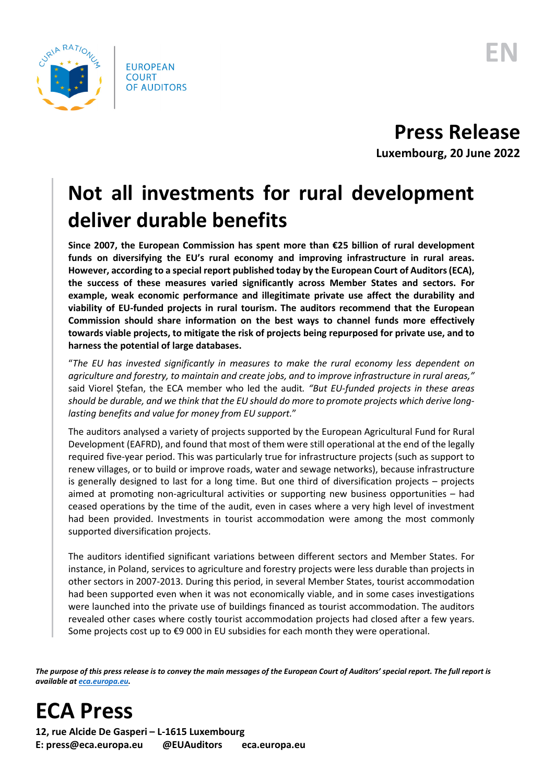

**Press Release**

**Luxembourg, 20 June 2022**

## **Not all investments for rural development deliver durable benefits**

**Since 2007, the European Commission has spent more than €25 billion of rural development funds on diversifying the EU's rural economy and improving infrastructure in rural areas. However, according to a special report published today by the European Court of Auditors(ECA), the success of these measures varied significantly across Member States and sectors. For example, weak economic performance and illegitimate private use affect the durability and viability of EU-funded projects in rural tourism. The auditors recommend that the European Commission should share information on the best ways to channel funds more effectively towards viable projects, to mitigate the risk of projects being repurposed for private use, and to harness the potential of large databases.**

"*The EU has invested significantly in measures to make the rural economy less dependent on agriculture and forestry, to maintain and create jobs, and to improve infrastructure in rural areas,"* said Viorel Ștefan, the ECA member who led the audit*. "But EU-funded projects in these areas should be durable, and we think that the EU should do more to promote projects which derive longlasting benefits and value for money from EU support.*"

The auditors analysed a variety of projects supported by the European Agricultural Fund for Rural Development (EAFRD), and found that most of them were still operational at the end of the legally required five-year period. This was particularly true for infrastructure projects (such as support to renew villages, or to build or improve roads, water and sewage networks), because infrastructure is generally designed to last for a long time. But one third of diversification projects – projects aimed at promoting non-agricultural activities or supporting new business opportunities – had ceased operations by the time of the audit, even in cases where a very high level of investment had been provided. Investments in tourist accommodation were among the most commonly supported diversification projects.

The auditors identified significant variations between different sectors and Member States. For instance, in Poland, services to agriculture and forestry projects were less durable than projects in other sectors in 2007-2013. During this period, in several Member States, tourist accommodation had been supported even when it was not economically viable, and in some cases investigations were launched into the private use of buildings financed as tourist accommodation. The auditors revealed other cases where costly tourist accommodation projects had closed after a few years. Some projects cost up to €9 000 in EU subsidies for each month they were operational.

*The purpose of this press release is to convey the main messages of the European Court of Auditors' special report. The full report is available a[t eca.europa.eu.](https://www.eca.europa.eu/)*

**ECA Press**

**12, rue Alcide De Gasperi – L-1615 Luxembourg E: press@eca.europa.eu @EUAuditors eca.europa.eu**